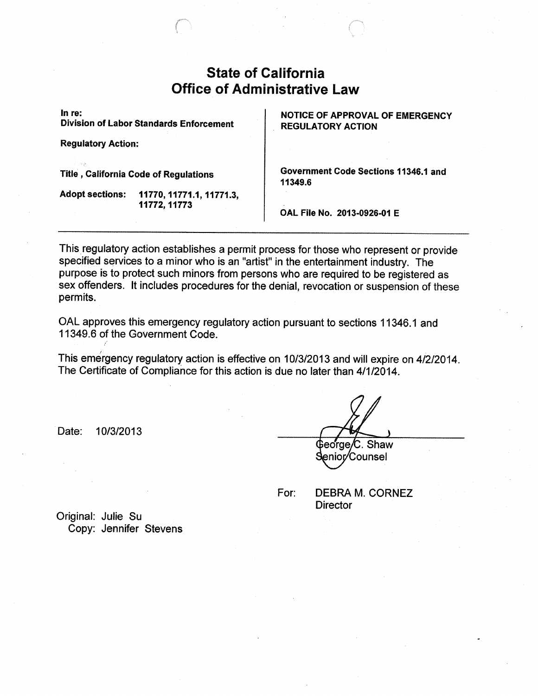# Stafe of California Office of Administrative Law

In re:

Division of Labor Standards Enforcement

Regulatory Action:

**Title, California Code of Regulations** 

Adopt sections: 11770, 11771.1, 11771.3. 11772,11773

 NOTICE OF APPROVAL OF EMERGENCY REGULATORY ACTION

Government Code Sections 11346.1 and 11349.6

OAL File No. 2013-0926-Q1 E

This regulatory action establishes a permit process for those who represent or provide specified services to a minor who is an "artist" in the entertainment industry. The purpose is to protect such minors from persons who are required to be registered as sex offenders. It includes procedures for the denial, revocation or suspension of these permits.

ORL approves this emergency regulatory action pursuant to sections 11346.1 and 11349.6 of the Government Code.

This emergency regulatory action is effective on 10/3/2013 and will expire on 4/2/2014. The Certificate of Compliance for this action is due no later than 4/1/2014.

Date: 10/3/2013

Shaw **Counsel** enior/

or: DEBRA M. CORNEZ Director

Original: Julie Su Copy: Jennifer Stevens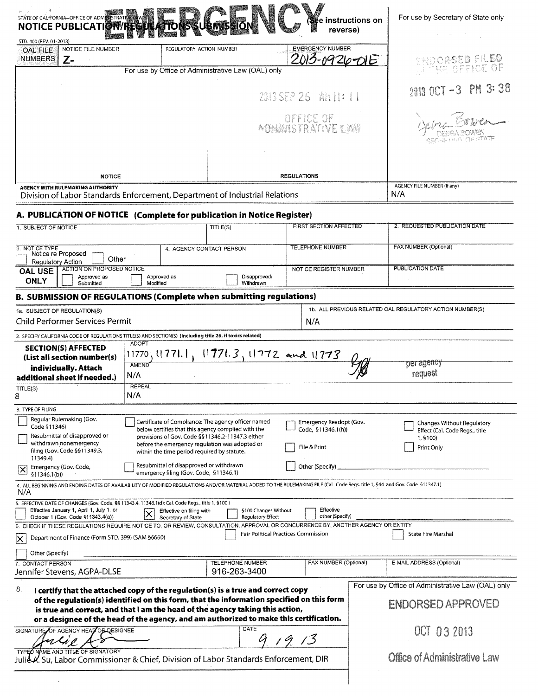|                                                                                                                                                                                                                                                                                                                                                                | STATE OF CALIFORNIA-OFFICE OF ADMISSIRATIVE WWW<br>NOTICE PUBLICATION REGI    |                                                                                                                                                    |                                                  | ∰e instructions on<br>reverse)                                                                                                                                               | For use by Secretary of State only                                             |
|----------------------------------------------------------------------------------------------------------------------------------------------------------------------------------------------------------------------------------------------------------------------------------------------------------------------------------------------------------------|-------------------------------------------------------------------------------|----------------------------------------------------------------------------------------------------------------------------------------------------|--------------------------------------------------|------------------------------------------------------------------------------------------------------------------------------------------------------------------------------|--------------------------------------------------------------------------------|
| STD. 400 (REV. 01-2013)<br><b>OAL FILE</b><br><b>NUMBERS</b>                                                                                                                                                                                                                                                                                                   | NOTICE FILE NUMBER<br>Z-                                                      | REGULATORY ACTION NUMBER                                                                                                                           |                                                  | <b>EMERGENCY NUMBER</b><br>26-01E                                                                                                                                            | TNOORSED FILED                                                                 |
|                                                                                                                                                                                                                                                                                                                                                                |                                                                               | For use by Office of Administrative Law (OAL) only                                                                                                 | OFFICE OF                                        |                                                                                                                                                                              |                                                                                |
|                                                                                                                                                                                                                                                                                                                                                                |                                                                               |                                                                                                                                                    |                                                  | 2013 SEP 26 AN II: II                                                                                                                                                        | 2013 OCT -3 PM 3:38                                                            |
|                                                                                                                                                                                                                                                                                                                                                                |                                                                               |                                                                                                                                                    |                                                  | <b>DEFICE OF</b><br><b><i>ADMINISTRATIVE LAW</i></b>                                                                                                                         |                                                                                |
|                                                                                                                                                                                                                                                                                                                                                                |                                                                               |                                                                                                                                                    |                                                  |                                                                                                                                                                              |                                                                                |
|                                                                                                                                                                                                                                                                                                                                                                | <b>NOTICE</b>                                                                 |                                                                                                                                                    |                                                  | <b>REGULATIONS</b>                                                                                                                                                           |                                                                                |
| <b>AGENCY WITH RULEMAKING AUTHORITY</b><br>Division of Labor Standards Enforcement, Department of Industrial Relations                                                                                                                                                                                                                                         |                                                                               |                                                                                                                                                    |                                                  |                                                                                                                                                                              | <b>AGENCY FILE NUMBER (If any)</b><br>N/A                                      |
|                                                                                                                                                                                                                                                                                                                                                                |                                                                               |                                                                                                                                                    |                                                  |                                                                                                                                                                              |                                                                                |
| 1. SUBJECT OF NOTICE                                                                                                                                                                                                                                                                                                                                           |                                                                               | A. PUBLICATION OF NOTICE (Complete for publication in Notice Register)                                                                             | TITLE(S)                                         | <b>FIRST SECTION AFFECTED</b>                                                                                                                                                | 2. REQUESTED PUBLICATION DATE                                                  |
|                                                                                                                                                                                                                                                                                                                                                                |                                                                               |                                                                                                                                                    |                                                  |                                                                                                                                                                              |                                                                                |
| 3. NOTICE TYPE<br>Regulatory Action                                                                                                                                                                                                                                                                                                                            | Notice re Proposed<br>Other                                                   |                                                                                                                                                    | 4. AGENCY CONTACT PERSON                         | <b>TELEPHONE NUMBER</b>                                                                                                                                                      | FAX NUMBER (Optional)                                                          |
| <b>OAL USE</b><br><b>ONLY</b>                                                                                                                                                                                                                                                                                                                                  | <b>ACTION ON PROPOSED NOTICE</b><br>Approved as<br>Submitted                  | Approved as<br>Modified                                                                                                                            | Disapproved/<br>Withdrawn                        | NOTICE REGISTER NUMBER                                                                                                                                                       | PUBLICATION DATE                                                               |
|                                                                                                                                                                                                                                                                                                                                                                |                                                                               |                                                                                                                                                    |                                                  |                                                                                                                                                                              |                                                                                |
| <b>B. SUBMISSION OF REGULATIONS (Complete when submitting regulations)</b><br>1b. ALL PREVIOUS RELATED OAL REGULATORY ACTION NUMBER(S)<br>1a. SUBJECT OF REGULATION(S)                                                                                                                                                                                         |                                                                               |                                                                                                                                                    |                                                  |                                                                                                                                                                              |                                                                                |
| Child Performer Services Permit<br>N/A                                                                                                                                                                                                                                                                                                                         |                                                                               |                                                                                                                                                    |                                                  |                                                                                                                                                                              |                                                                                |
|                                                                                                                                                                                                                                                                                                                                                                |                                                                               | 2. SPECIFY CALIFORNIA CODE OF REGULATIONS TITLE(S) AND SECTION(S) (Including title 26, if toxics related)                                          |                                                  |                                                                                                                                                                              |                                                                                |
|                                                                                                                                                                                                                                                                                                                                                                | <b>SECTION(S) AFFECTED</b><br>(List all section number(s)                     | <b>ADOPT</b><br>11770, († 771. †                                                                                                                   | $11771.3, 11772$ and $11773$                     |                                                                                                                                                                              |                                                                                |
|                                                                                                                                                                                                                                                                                                                                                                | individually. Attach                                                          | <b>AMEND</b>                                                                                                                                       |                                                  |                                                                                                                                                                              | per agency                                                                     |
|                                                                                                                                                                                                                                                                                                                                                                | additional sheet if needed.)                                                  | N/A                                                                                                                                                |                                                  |                                                                                                                                                                              | request                                                                        |
| TITLE(S)<br>8                                                                                                                                                                                                                                                                                                                                                  |                                                                               | <b>REPEAL</b><br>N/A                                                                                                                               |                                                  |                                                                                                                                                                              |                                                                                |
| 3. TYPE OF FILING                                                                                                                                                                                                                                                                                                                                              |                                                                               |                                                                                                                                                    |                                                  |                                                                                                                                                                              |                                                                                |
| Regular Rulemaking (Gov.<br>Certificate of Compliance: The agency officer named<br>Emergency Readopt (Gov.<br>Code §11346)<br>below certifies that this agency complied with the<br>Code, §11346.1(h))<br>Resubmittal of disapproved or<br>provisions of Gov. Code §§11346.2-11347.3 either                                                                    |                                                                               |                                                                                                                                                    |                                                  |                                                                                                                                                                              | Changes Without Regulatory<br>Effect (Cal. Code Regs., title<br>1, 9100)       |
| 11349.4)                                                                                                                                                                                                                                                                                                                                                       | withdrawn nonemergency<br>filing (Gov. Code §§11349.3,                        | before the emergency regulation was adopted or<br>within the time period required by statute.                                                      |                                                  | File & Print                                                                                                                                                                 | Print Only                                                                     |
| Ι×<br>\$11346.1(b)                                                                                                                                                                                                                                                                                                                                             | Emergency (Gov. Code,                                                         | Resubmittal of disapproved or withdrawn<br>emergency filing (Gov. Code, §11346.1)                                                                  |                                                  | Other (Specify)                                                                                                                                                              |                                                                                |
| N/A                                                                                                                                                                                                                                                                                                                                                            |                                                                               |                                                                                                                                                    |                                                  | 4. ALL BEGINNING AND ENDING DATES OF AVAILABILITY OF MODIFIED REGULATIONS AND/OR MATERIAL ADDED TO THE RULEMAKING FILE (Cal. Code Regs. title 1, 544 and Gov. Code §11347.1) |                                                                                |
|                                                                                                                                                                                                                                                                                                                                                                | Effective January 1, April 1, July 1, or<br>October 1 (Gov. Code §11343.4(a)) | 5. EFFECTIVE DATE OF CHANGES (Gov. Code, §§ 11343.4, 11346.1(d); Cal. Code Regs., title 1, §100)<br>Effective on filing with<br>Secretary of State | §100 Changes Without<br><b>Regulatory Effect</b> | Effective<br>other (Specify)                                                                                                                                                 |                                                                                |
| IX.                                                                                                                                                                                                                                                                                                                                                            | Department of Finance (Form STD. 399) (SAM §6660)                             |                                                                                                                                                    |                                                  | 6. CHECK IF THESE REGULATIONS REQUIRE NOTICE TO, OR REVIEW, CONSULTATION, APPROVAL OR CONCURRENCE BY, ANOTHER AGENCY OR ENTITY<br><b>Fair Political Practices Commission</b> | <b>State Fire Marshal</b>                                                      |
| Other (Specify)<br>7. CONTACT PERSON                                                                                                                                                                                                                                                                                                                           |                                                                               |                                                                                                                                                    | <b>TELEPHONE NUMBER</b>                          | FAX NUMBER (Optional)                                                                                                                                                        | E-MAIL ADDRESS (Optional)                                                      |
|                                                                                                                                                                                                                                                                                                                                                                | Jennifer Stevens, AGPA-DLSE                                                   |                                                                                                                                                    | 916-263-3400                                     |                                                                                                                                                                              |                                                                                |
| 8.<br>I certify that the attached copy of the regulation(s) is a true and correct copy<br>of the regulation(s) identified on this form, that the information specified on this form<br>is true and correct, and that I am the head of the agency taking this action,<br>or a designee of the head of the agency, and am authorized to make this certification. |                                                                               |                                                                                                                                                    |                                                  |                                                                                                                                                                              | For use by Office of Administrative Law (OAL) only<br><b>ENDORSED APPROVED</b> |
| <b>DATE</b><br>SIGNATURE OF AGENCY HEAD OF DESIGNEE<br>nlig                                                                                                                                                                                                                                                                                                    |                                                                               |                                                                                                                                                    |                                                  | 13                                                                                                                                                                           | OCT 03 2013                                                                    |
| TYPED NAME AND TITLE OF SIGNATORY<br>Julie V. Su, Labor Commissioner & Chief, Division of Labor Standards Enforcement, DIR                                                                                                                                                                                                                                     |                                                                               |                                                                                                                                                    |                                                  |                                                                                                                                                                              | <b>Office of Administrative Law</b>                                            |
|                                                                                                                                                                                                                                                                                                                                                                |                                                                               |                                                                                                                                                    |                                                  |                                                                                                                                                                              |                                                                                |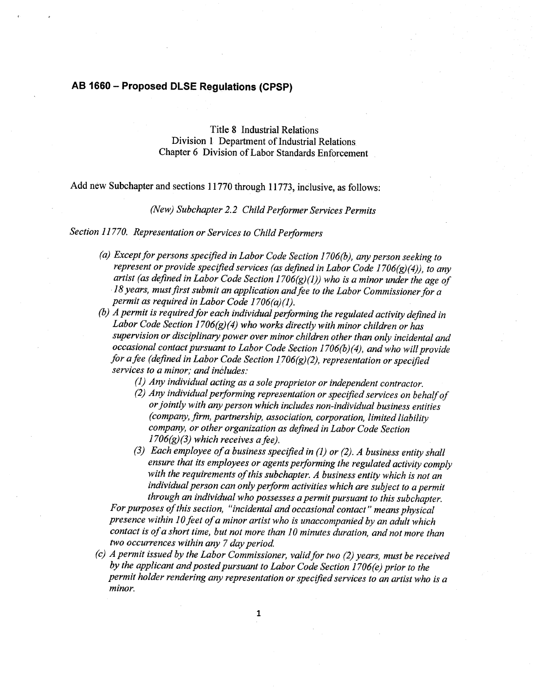## AB 1660 —Proposed DLSE Regulations(CPSP)

Title 8 Industrial Relations Division 1 Department of Industrial Relations. Chapter 6 Division of Labor Standards Enforcement

 $\sim$ 

Add new Subchapter and sections 11770 through 11773, inclusive, as follows:

(New) Subchapter 2.2 Child Performer Services Permits

Section 11770. Representation or Services to Child Performers

- (a) Except for persons specified in Labor Code Section 1706(b), any person seeking to represent or provide specified services (as defined in Labor Code 1706 $(g)(4)$ ), to any artist (as defined in Labor Code Section 1706 $(g)(1)$ ) who is a minor under the age of  $18$  years, must first submit an application and fee to the Labor Commissioner for a permit as required in Labor Code  $1706(a)(1)$ .
- (b)  $\overline{A}$  permit is required for each individual performing the regulated activity defined in Labor Code Section 1706(g)(4) who works directly with minor children or has supervision or disciplinary power over minor children other than only incidental and occasional contact pursuant to Labor Code Section 1706(b)(4), and who will provide for a fee (defined in Labor Code Section 1706(g)(2), representation or specified services to a minor; and includes:
	- $(1)$  Any individual acting as a sole proprietor or independent contractor.
	- (2) Any individual performing representation or specified services on behalf of or jointly with any person which includes non-individual business entities (company, firm, partnership, association, corporation, limited liability company, or other organization as defined in Labor Code Section  $1706(g)(3)$  which receives a fee).
	- (3) Each employee of a business specified in (1) or (2). A business entity shall ensure that its employees or agents performing the regulated activity comply with the requirements of this subchapter. A business entity which is not an individual person can only perform activities which are subject to a permit through an individual who possesses a permit pursuant to this subchapter.

For purposes of this section, "incidental and occasional contact" means physical presence within 10 feet of a minor artist who is unaccompanied by an adult which contact is of a short time, but not more than 10 minutes duration, and not more than two occurrences within any 7 day period.

 $(c)$  A permit issued by the Labor Commissioner, valid for two  $(2)$  years, must be received by the applicant and posted pursuant to Labor Code Section  $1706(e)$  prior to the permit holder rendering any representation or specified services to an artist who is a minor.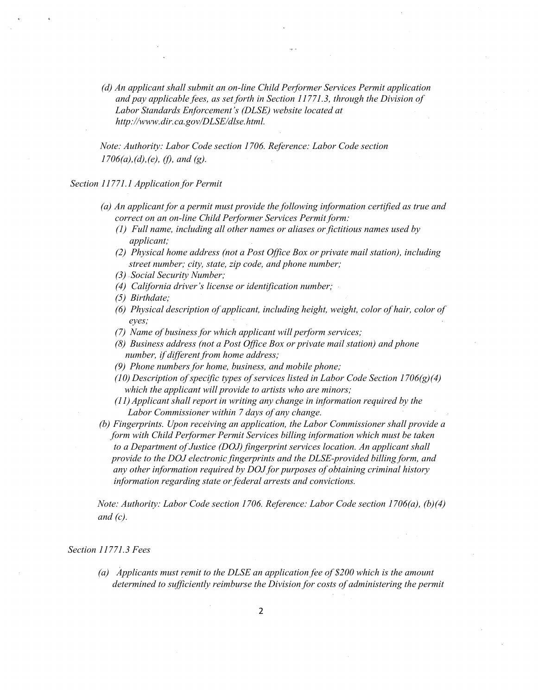*(d) An applicant shall submit an on-line Child Performer Services Permit application and pay applicable fees, as set forth in Section 11771.3, through the Division of Labor Standards Enforcement's (DLSE) website located at http://www.dir.ca.gov/DLSE/dlse.html.*

*Note: Authority: Labor Code section 1706. Reference: Labor Code section 1706(a),(d),(e), (f), and (g).*

*Section 11771.1 Application for Permit*

- *(a) An applicant for a permit must provide the following information certified as true and correct on an on-line Child Performer Services Permit form:*
	- *(1) Full name, including all other names or aliases or fictitious names used by applicant;*
	- *(2) Physical home address (not a Post Office Box or private mail station), including street number; city, state, zip code, and phone number;*
	- *(3) Social Security Number;*
	- *(4) California driver's license or identification number;*
	- *(5) Birthdate;*
	- *(6) Physical description of applicant, including height, weight, color of hair, color of eyes;*
	- *(7) Name of business for which applicant will perform services;*
	- *(8) Business address (not a Post Office Box or private mail station) and phone number, if different from home address;*
	- *(9) Phone numbers for home, business, and mobile phone;*
	- *(10) Description of specific types of services listed in Labor Code Section 1706(g)(4) which the applicant will provide to artists who are minors;*
	- *(11) Applicant shall report in writing any change in information required by the Labor Commissioner within 7 days of any change.*
- *(b) Fingerprints. Upon receiving an application, the Labor Commissioner shall provide a form with Child Performer Permit Services billing information which must be taken to a Department of Justice (DOJ) fingerprint services location. An applicant shall provide to the DOJ electronic fingerprints and the DLSE-provided billing form, and any other information required by DOJ for purposes of obtaining criminal history information regarding state or federal arrests and convictions.*

*Note: Authority: Labor Code section 1706. Reference: Labor Code section 1706(a), (b)(4) and (c).*

### *Section 11771.3 Fees*

*(a) Applicants must remit to the DLSE an application fee of \$200 which is the amount determined to sufficiently reimburse the Division for costs of administering the permit*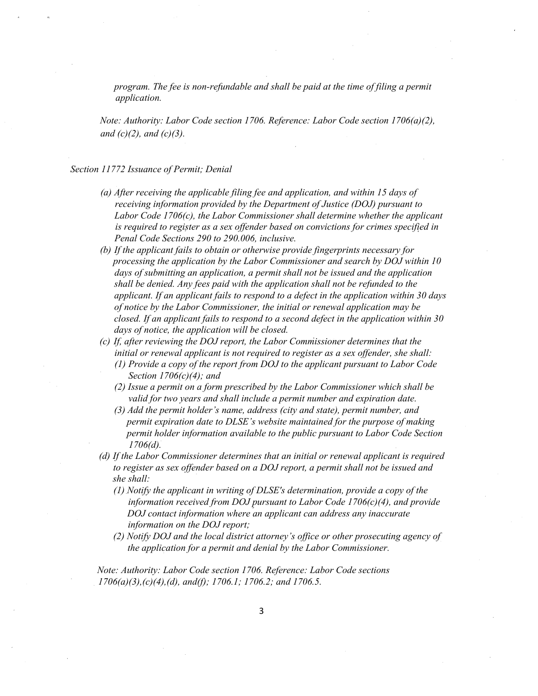*program. The fee is non-refundable and shall be paid at the time of filing a permit application.*

*Note: Authority: Labor Code section 1706. Reference: Labor Code section 1706(a)(2), and (c)(2), and (c)(3).*

### *Section 11772 Issuance of Permit; Denial*

- *(a) After receiving the applicable filing fee and application, and within 15 days of receiving information provided by the Department of Justice (DOJ) pursuant to Labor Code 1706(c), the Labor Commissioner shall determine whether the applicant is required to register as a sex offender based on convictions for crimes specified in Penal Code Sections 290 to 290.006, inclusive.*
- *(b) If the applicant fails to obtain or otherwise provide fingerprints necessary for processing the application by the Labor Commissioner and search by DOJ within 10 days of submitting an application, a permit shall not be issued and the application shall be denied. Any fees paid with the application shall not be refunded to the applicant. If an applicant fails to respond to a defect in the application within 30 days of notice by the Labor Commissioner, the initial or renewal application may be closed. If an applicant fails to respond to a second defect in the application within 30 days of notice, the application will be closed.*
- *(c) If, after reviewing the DOJ report, the Labor Commissioner determines that the initial or renewal applicant is not required to register as a sex offender, she shall:*
	- *(1) Provide a copy of the report from DOJ to the applicant pursuant to Labor Code Section 1706(c)(4); and*
	- *(2) Issue a permit on a form prescribed by the Labor Commissioner which shall be valid for two years and shall include a permit number and expiration date.*
	- *(3) Add the permit holder's name, address (city and state), permit number, and permit expiration date to DLSE's website maintained for the purpose of making permit holder information available to the public pursuant to Labor Code Section 1706(d).*
- *(d) If the Labor Commissioner determines that an initial or renewal applicant is required to register as sex offender based on a DOJ report, a permit shall not be issued and she shall:*
	- *(1) Notify the applicant in writing of DLSE's determination, provide a copy of the information received from DOJ pursuant to Labor Code 1706(c)(4), and provide DOJ contact information where an applicant can address any inaccurate information on the DOJ report;*
	- *(2) Notify DOJ and the local district attorney's office or other prosecuting agency of the application for a permit and denial by the Labor Commissioner.*

*Note: Authority: Labor Code section 1706. Reference: Labor Code sections 1706(a)(3),(c)(4),(d), and(f); 1706.1; 1706.2; and 1706.5.*